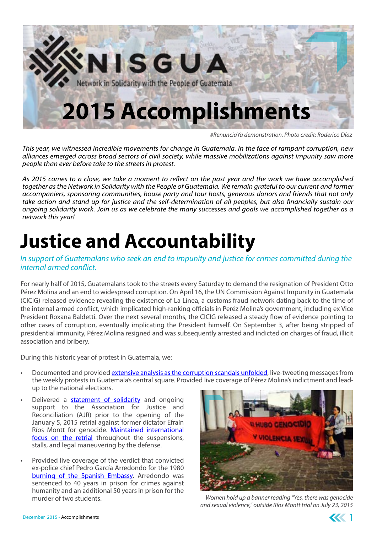

*#RenunciaYa demonstration. Photo credit: Roderico Díaz*

*This year, we witnessed incredible movements for change in Guatemala. In the face of rampant corruption, new alliances emerged across broad sectors of civil society, while massive mobilizations against impunity saw more people than ever before take to the streets in protest.* 

*As 2015 comes to a close, we take a moment to reflect on the past year and the work we have accomplished together as the Network in Solidarity with the People of Guatemala. We remain grateful to our current and former accompaniers, sponsoring communities, house party and tour hosts, generous donors and friends that not only take action and stand up for justice and the self-determination of all peoples, but also financially sustain our ongoing solidarity work. Join us as we celebrate the many successes and goals we accomplished together as a network this year!*

# **Justice and Accountability**

#### *In support of Guatemalans who seek an end to impunity and justice for crimes committed during the internal armed conflict.*

For nearly half of 2015, Guatemalans took to the streets every Saturday to demand the resignation of President Otto Pérez Molina and an end to widespread corruption. On April 16, the UN Commission Against Impunity in Guatemala (CICIG) released evidence revealing the existence of La Línea, a customs fraud network dating back to the time of the internal armed conflict, which implicated high-ranking officials in Peréz Molina's government, including ex Vice President Roxana Baldetti. Over the next several months, the CICIG released a steady flow of evidence pointing to other cases of corruption, eventually implicating the President himself. On September 3, after being stripped of presidential immunity, Pérez Molina resigned and was subsequently arrested and indicted on charges of fraud, illicit association and bribery.

During this historic year of protest in Guatemala, we:

- Documented and provided [extensive analysis as the corruption scandals unfolded](http://www.nisgua.org/index.php/guatemalan-president-otto-perez-molina-resigns-detained-on-charges-of-corruption/), live-tweeting messages from the weekly protests in Guatemala's central square. Provided live coverage of Pérez Molina's indictment and leadup to the national elections.
- Delivered a [statement of solidarity](http://www.nisgua.org/index.php/a-solidarity-message-to-the-association-for-justice-and-reconciliation-as-the-genocide-case-goes-to-retrial/) and ongoing support to the Association for Justice and Reconciliation (AJR) prior to the opening of the January 5, 2015 retrial against former dictator Efraín Ríos Montt for genocide. [Maintained international](http://www.nisgua.org/index.php/interview-with-members-of-the-association-for-justice-and-reconciliation-on-the-genocide-retrial-and-suspension-of-proceedings/) [focus on the retrial](http://www.nisgua.org/index.php/interview-with-members-of-the-association-for-justice-and-reconciliation-on-the-genocide-retrial-and-suspension-of-proceedings/) throughout the suspensions, stalls, and legal maneuvering by the defense.
- Provided live coverage of the verdict that convicted ex-police chief Pedro García Arredondo for the 1980 [burning of the Spanish Embassy.](http://www.nisgua.org/index.php/the-answer-to-who-knows-who-started-the-fire-at-the-spanish-embassy/) Arredondo was sentenced to 40 years in prison for crimes against humanity and an additional 50 years in prison for the murder of two students.



*Women hold up a banner reading "Yes, there was genocide and sexual violence," outside Ríos Montt trial on July 23, 2015* 

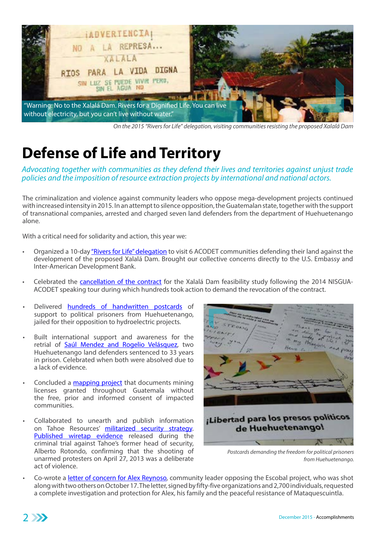

*On the 2015 "Rivers for Life" delegation, visiting communities resisting the proposed Xalalá Dam* 

### **Defense of Life and Territory**

*Advocating together with communities as they defend their lives and territories against unjust trade policies and the imposition of resource extraction projects by international and national actors.* 

The criminalization and violence against community leaders who oppose mega-development projects continued with increased intensity in 2015. In an attempt to silence opposition, the Guatemalan state, together with the support of transnational companies, arrested and charged seven land defenders from the department of Huehuetenango alone.

With a critical need for solidarity and action, this year we:

- Organized a 10-day ["Rivers for Life" delegation](http://www.nisgua.org/index.php/a-report-back-on-nisguas-rivers-for-life-delegation/) to visit 6 ACODET communities defending their land against the development of the proposed Xalalá Dam. Brought our collective concerns directly to the U.S. Embassy and Inter-American Development Bank.
- Celebrated the [cancellation of the contract](http://www.nisgua.org/index.php/victory-for-communities-threatened-by-the-xalala-dam-contract-for-feasibility-studies-canceled/) for the Xalalá Dam feasibility study following the 2014 NISGUA-ACODET speaking tour during which hundreds took action to demand the revocation of the contract.
- Delivered [hundreds of handwritten postcards](http://org2.salsalabs.com/o/6497/p/dia/action3/common/public/%3Faction_KEY%3D20823) of support to political prisoners from Huehuetenango, jailed for their opposition to hydroelectric projects.
- Built international support and awareness for the retrial of [Saúl Mendez and Rogelio Velásquez](http://www.nisgua.org/index.php/land-defenders-saul-mendez-and-rogelio-velasquez-absolved-of-all-charges-but-remain-in-prison/), two Huehuetenango land defenders sentenced to 33 years in prison. Celebrated when both were absolved due to a lack of evidence.
- Concluded a [mapping project](http://www.nisgua.org/index.php/interactive-map-shows-scope-of-natural-resource-concessions-in-guatemala/) that documents mining licenses granted throughout Guatemala without the free, prior and informed consent of impacted communities.
- Collaborated to unearth and publish information on Tahoe Resources' [militarized security strategy.](http://www.nisgua.org/index.php/how-a-quasi-military-project-was-created-to-protect-the-escobal-mine/) [Published wiretap evidence](http://www.nisgua.org/index.php/wiretap-transcripts-raise-troubling-questions-about-tahoe-resources-militarized-security-detail/) released during the criminal trial against Tahoe's former head of security, Alberto Rotondo, confirming that the shooting of unarmed protesters on April 27, 2013 was a deliberate act of violence.



*Postcards demanding the freedom for political prisoners from Huehuetenango.*

Co-wrote a [letter of concern for Alex Reynoso](http://www.nisgua.org/index.php/shooting-attack-in-mataquescuintla-jalapa-against-opponents-of-tahoe-resources-escobal-mine/), community leader opposing the Escobal project, who was shot along with two others on October 17. The letter, signed by fifty-five organizations and 2,700 individuals, requested a complete investigation and protection for Alex, his family and the peaceful resistance of Mataquescuintla.

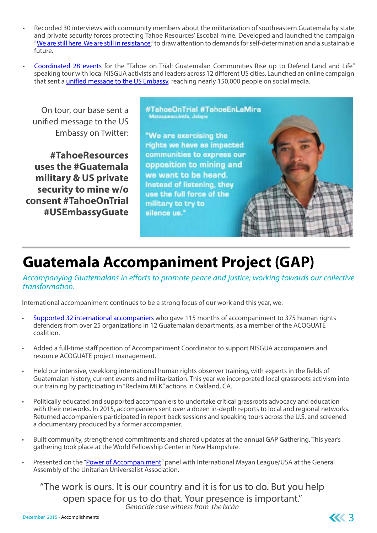- Recorded 30 interviews with community members about the militarization of southeastern Guatemala by state and private security forces protecting Tahoe Resources' Escobal mine. Developed and launched the campaign "[We are still here. We are still in resistance.](https://www.facebook.com/media/set/%3Fset%3Da.779708548815590.1073741841.159547364165048%26type%3D3)" to draw attention to demands for self-determination and a sustainable future.
- [Coordinated 28 events](http://www.nisgua.org/index.php/tahoe-on-trial-speaking-tour-strengthens-solidarity-between-communities-standing-up-against-tahoe-resources/) for the "Tahoe on Trial: Guatemalan Communities Rise up to Defend Land and Life" speaking tour with local NISGUA activists and leaders across 12 different US cities. Launched an online campaign that sent a [unified message to the US Embassy,](https://www.thunderclap.it/projects/32466-tahoe-mines-militarization) reaching nearly 150,000 people on social media.

On tour, our base sent a unified message to the US Embassy on Twitter:

**#TahoeResources uses the #Guatemala military & US private security to mine w/o consent #TahoeOnTrial #USEmbassyGuate** #TahoeOnTrial #TahoeEnLaMira Mataquescuintia, Jalapa

"We are exercising the rights we have as impacted communities to express our opposition to mining and we want to be heard. Instead of listening, they use the full force of the military to try to silence us."

#### **Guatemala Accompaniment Project (GAP)**

*Accompanying Guatemalans in efforts to promote peace and justice; working towards our collective transformation.*

International accompaniment continues to be a strong focus of our work and this year, we:

- [Supported 32 international accompaniers](http://www.nisgua.org/index.php/what-we-do/guatemala-accompaniment-project-gap/) who gave 115 months of accompaniment to 375 human rights defenders from over 25 organizations in 12 Guatemalan departments, as a member of the ACOGUATE coalition.
- Added a full-time staff position of Accompaniment Coordinator to support NISGUA accompaniers and resource ACOGUATE project management.
- Held our intensive, weeklong international human rights observer training, with experts in the fields of Guatemalan history, current events and militarization. This year we incorporated local grassroots activism into our training by participating in "Reclaim MLK" actions in Oakland, CA.
- Politically educated and supported accompaniers to undertake critical grassroots advocacy and education with their networks. In 2015, accompaniers sent over a dozen in-depth reports to local and regional networks. Returned accompaniers participated in report back sessions and speaking tours across the U.S. and screened a documentary produced by a former accompanier.
- Built community, strengthened commitments and shared updates at the annual GAP Gathering. This year's gathering took place at the World Fellowship Center in New Hampshire.
- Presented on the ["Power of Accompaniment"](http://www.nisgua.org/index.php/portfolio-items/the-power-of-presence-reflections-from-20-years-of-accompaniment/) panel with International Mayan League/USA at the General Assembly of the Unitarian Universalist Association.

"The work is ours. It is our country and it is for us to do. But you help open space for us to do that. Your presence is important." *Genocide case witness from the Ixcán*